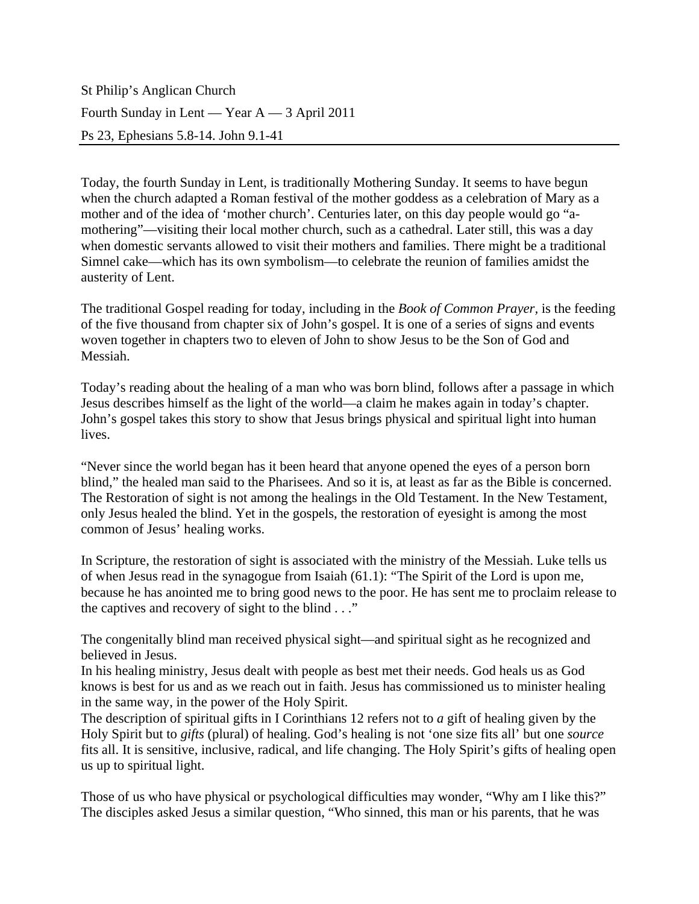St Philip's Anglican Church Fourth Sunday in Lent — Year A — 3 April 2011 Ps 23, Ephesians 5.8-14. John 9.1-41

Today, the fourth Sunday in Lent, is traditionally Mothering Sunday. It seems to have begun when the church adapted a Roman festival of the mother goddess as a celebration of Mary as a mother and of the idea of 'mother church'. Centuries later, on this day people would go "amothering"—visiting their local mother church, such as a cathedral. Later still, this was a day when domestic servants allowed to visit their mothers and families. There might be a traditional Simnel cake—which has its own symbolism—to celebrate the reunion of families amidst the austerity of Lent.

The traditional Gospel reading for today, including in the *Book of Common Prayer,* is the feeding of the five thousand from chapter six of John's gospel. It is one of a series of signs and events woven together in chapters two to eleven of John to show Jesus to be the Son of God and Messiah.

Today's reading about the healing of a man who was born blind, follows after a passage in which Jesus describes himself as the light of the world—a claim he makes again in today's chapter. John's gospel takes this story to show that Jesus brings physical and spiritual light into human lives.

"Never since the world began has it been heard that anyone opened the eyes of a person born blind," the healed man said to the Pharisees. And so it is, at least as far as the Bible is concerned. The Restoration of sight is not among the healings in the Old Testament. In the New Testament, only Jesus healed the blind. Yet in the gospels, the restoration of eyesight is among the most common of Jesus' healing works.

In Scripture, the restoration of sight is associated with the ministry of the Messiah. Luke tells us of when Jesus read in the synagogue from Isaiah (61.1): "The Spirit of the Lord is upon me, because he has anointed me to bring good news to the poor. He has sent me to proclaim release to the captives and recovery of sight to the blind . . ."

The congenitally blind man received physical sight—and spiritual sight as he recognized and believed in Jesus.

In his healing ministry, Jesus dealt with people as best met their needs. God heals us as God knows is best for us and as we reach out in faith. Jesus has commissioned us to minister healing in the same way, in the power of the Holy Spirit.

The description of spiritual gifts in I Corinthians 12 refers not to *a* gift of healing given by the Holy Spirit but to *gifts* (plural) of healing. God's healing is not 'one size fits all' but one *source* fits all. It is sensitive, inclusive, radical, and life changing. The Holy Spirit's gifts of healing open us up to spiritual light.

Those of us who have physical or psychological difficulties may wonder, "Why am I like this?" The disciples asked Jesus a similar question, "Who sinned, this man or his parents, that he was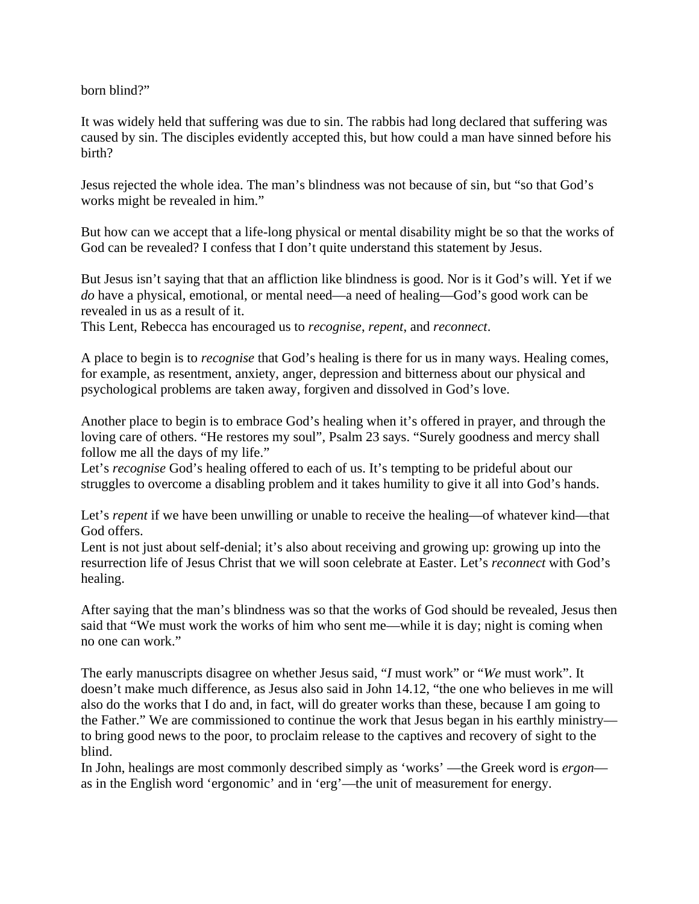born blind?"

It was widely held that suffering was due to sin. The rabbis had long declared that suffering was caused by sin. The disciples evidently accepted this, but how could a man have sinned before his birth?

Jesus rejected the whole idea. The man's blindness was not because of sin, but "so that God's works might be revealed in him."

But how can we accept that a life-long physical or mental disability might be so that the works of God can be revealed? I confess that I don't quite understand this statement by Jesus.

But Jesus isn't saying that that an affliction like blindness is good. Nor is it God's will. Yet if we *do* have a physical, emotional, or mental need—a need of healing—God's good work can be revealed in us as a result of it.

This Lent, Rebecca has encouraged us to *recognise*, *repent*, and *reconnect*.

A place to begin is to *recognise* that God's healing is there for us in many ways. Healing comes, for example, as resentment, anxiety, anger, depression and bitterness about our physical and psychological problems are taken away, forgiven and dissolved in God's love.

Another place to begin is to embrace God's healing when it's offered in prayer, and through the loving care of others. "He restores my soul", Psalm 23 says. "Surely goodness and mercy shall follow me all the days of my life."

Let's *recognise* God's healing offered to each of us. It's tempting to be prideful about our struggles to overcome a disabling problem and it takes humility to give it all into God's hands.

Let's *repent* if we have been unwilling or unable to receive the healing—of whatever kind—that God offers.

Lent is not just about self-denial; it's also about receiving and growing up: growing up into the resurrection life of Jesus Christ that we will soon celebrate at Easter. Let's *reconnect* with God's healing.

After saying that the man's blindness was so that the works of God should be revealed, Jesus then said that "We must work the works of him who sent me—while it is day; night is coming when no one can work."

The early manuscripts disagree on whether Jesus said, "*I* must work" or "*We* must work". It doesn't make much difference, as Jesus also said in John 14.12, "the one who believes in me will also do the works that I do and, in fact, will do greater works than these, because I am going to the Father." We are commissioned to continue the work that Jesus began in his earthly ministry to bring good news to the poor, to proclaim release to the captives and recovery of sight to the blind.

In John, healings are most commonly described simply as 'works' —the Greek word is *ergon* as in the English word 'ergonomic' and in 'erg'—the unit of measurement for energy.